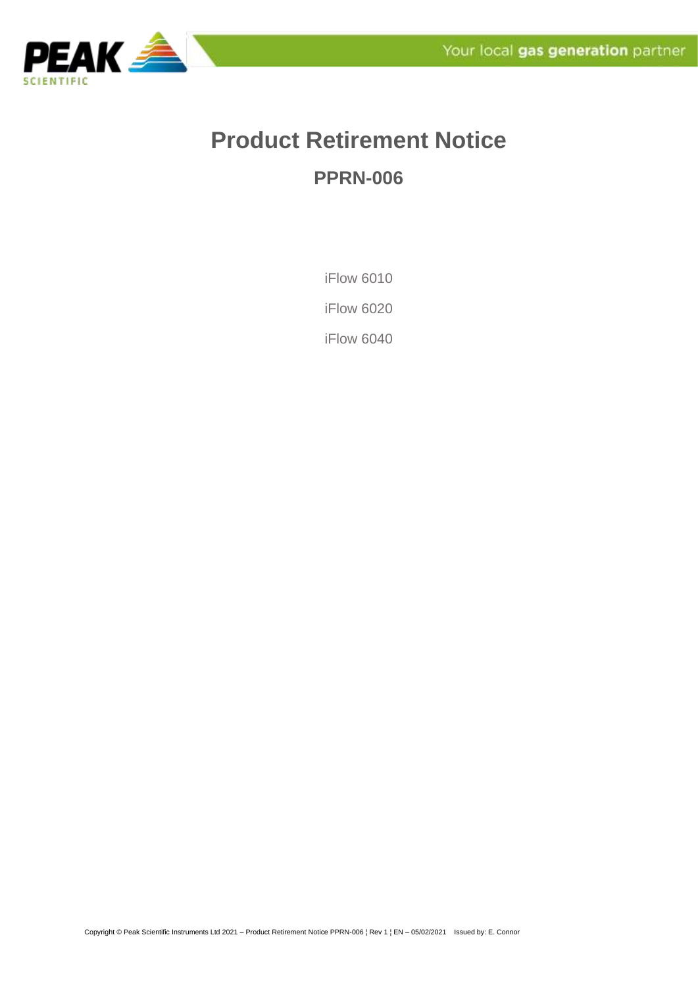

## **Product Retirement Notice PPRN-006**

iFlow 6010

iFlow 6020

iFlow 6040